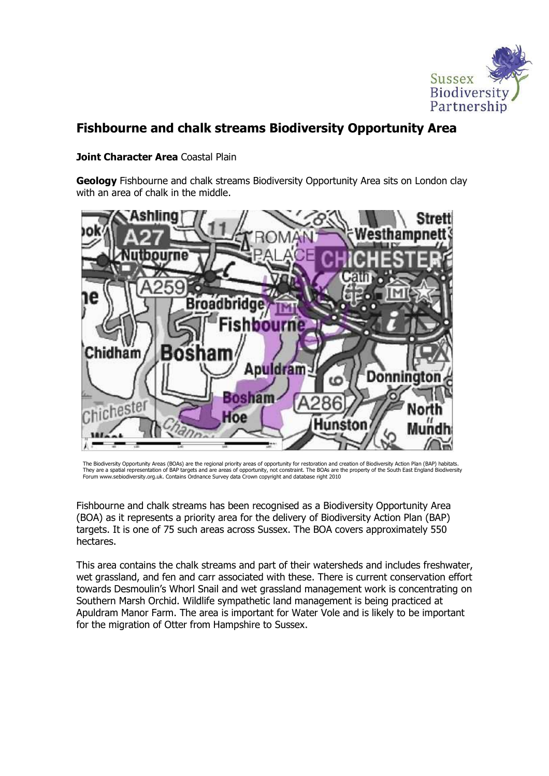

# Fishbourne and chalk streams Biodiversity Opportunity Area

#### Joint Character Area Coastal Plain

**Geology** Fishbourne and chalk streams Biodiversity Opportunity Area sits on London clay with an area of chalk in the middle.



The Biodiversity Opportunity Areas (BOAs) are the regional priority areas of opportunity for restoration and creation of Biodiversity Action Plan (BAP) habitats. They are a spatial representation of BAP targets and are areas of opportunity, not constraint. The BOAs are the property of the South East England Biodiversity Forum www.sebiodiversity.org.uk. Contains Ordnance Survey data Crown copyright and database right 2010

Fishbourne and chalk streams has been recognised as a Biodiversity Opportunity Area (BOA) as it represents a priority area for the delivery of Biodiversity Action Plan (BAP) targets. It is one of 75 such areas across Sussex. The BOA covers approximately 550 hectares.

This area contains the chalk streams and part of their watersheds and includes freshwater, wet grassland, and fen and carr associated with these. There is current conservation effort towards Desmoulin's Whorl Snail and wet grassland management work is concentrating on Southern Marsh Orchid. Wildlife sympathetic land management is being practiced at Apuldram Manor Farm. The area is important for Water Vole and is likely to be important for the migration of Otter from Hampshire to Sussex.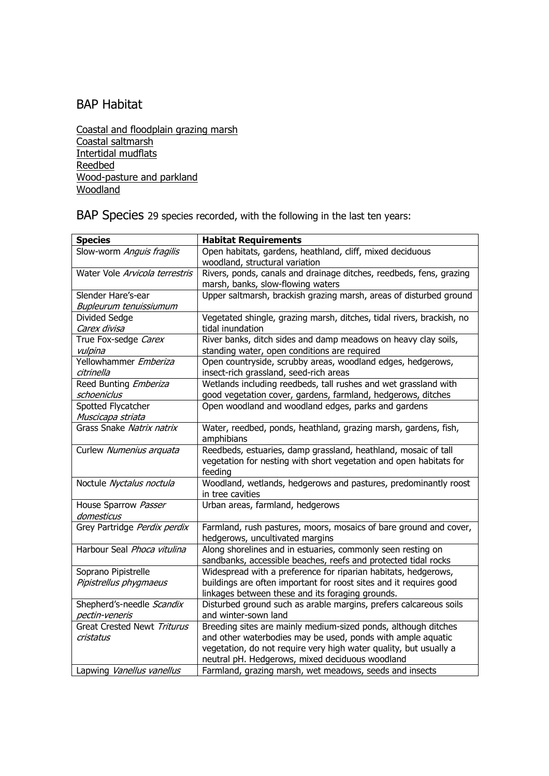## BAP Habitat

Coastal and floodplain grazing marsh Coastal saltmarsh Intertidal mudflats Reedbed Wood-pasture and parkland Woodland

BAP Species 29 species recorded, with the following in the last ten years:

| <b>Species</b>                                | <b>Habitat Requirements</b>                                                                                                                                                                                                                           |
|-----------------------------------------------|-------------------------------------------------------------------------------------------------------------------------------------------------------------------------------------------------------------------------------------------------------|
| Slow-worm Anguis fragilis                     | Open habitats, gardens, heathland, cliff, mixed deciduous<br>woodland, structural variation                                                                                                                                                           |
| Water Vole Arvicola terrestris                | Rivers, ponds, canals and drainage ditches, reedbeds, fens, grazing<br>marsh, banks, slow-flowing waters                                                                                                                                              |
| Slender Hare's-ear<br>Bupleurum tenuissiumum  | Upper saltmarsh, brackish grazing marsh, areas of disturbed ground                                                                                                                                                                                    |
| Divided Sedge<br>Carex divisa                 | Vegetated shingle, grazing marsh, ditches, tidal rivers, brackish, no<br>tidal inundation                                                                                                                                                             |
| True Fox-sedge Carex<br>vulpina               | River banks, ditch sides and damp meadows on heavy clay soils,<br>standing water, open conditions are required                                                                                                                                        |
| Yellowhammer Emberiza<br>citrinella           | Open countryside, scrubby areas, woodland edges, hedgerows,<br>insect-rich grassland, seed-rich areas                                                                                                                                                 |
| Reed Bunting Emberiza<br>schoeniclus          | Wetlands including reedbeds, tall rushes and wet grassland with<br>good vegetation cover, gardens, farmland, hedgerows, ditches                                                                                                                       |
| Spotted Flycatcher<br>Muscicapa striata       | Open woodland and woodland edges, parks and gardens                                                                                                                                                                                                   |
| Grass Snake Natrix natrix                     | Water, reedbed, ponds, heathland, grazing marsh, gardens, fish,<br>amphibians                                                                                                                                                                         |
| Curlew Numenius arquata                       | Reedbeds, estuaries, damp grassland, heathland, mosaic of tall<br>vegetation for nesting with short vegetation and open habitats for<br>feeding                                                                                                       |
| Noctule Nyctalus noctula                      | Woodland, wetlands, hedgerows and pastures, predominantly roost<br>in tree cavities                                                                                                                                                                   |
| House Sparrow Passer<br>domesticus            | Urban areas, farmland, hedgerows                                                                                                                                                                                                                      |
| Grey Partridge Perdix perdix                  | Farmland, rush pastures, moors, mosaics of bare ground and cover,<br>hedgerows, uncultivated margins                                                                                                                                                  |
| Harbour Seal Phoca vitulina                   | Along shorelines and in estuaries, commonly seen resting on<br>sandbanks, accessible beaches, reefs and protected tidal rocks                                                                                                                         |
| Soprano Pipistrelle<br>Pipistrellus phygmaeus | Widespread with a preference for riparian habitats, hedgerows,<br>buildings are often important for roost sites and it requires good<br>linkages between these and its foraging grounds.                                                              |
| Shepherd's-needle Scandix<br>pectin-veneris   | Disturbed ground such as arable margins, prefers calcareous soils<br>and winter-sown land                                                                                                                                                             |
| Great Crested Newt Triturus<br>cristatus      | Breeding sites are mainly medium-sized ponds, although ditches<br>and other waterbodies may be used, ponds with ample aquatic<br>vegetation, do not require very high water quality, but usually a<br>neutral pH. Hedgerows, mixed deciduous woodland |
| Lapwing Vanellus vanellus                     | Farmland, grazing marsh, wet meadows, seeds and insects                                                                                                                                                                                               |